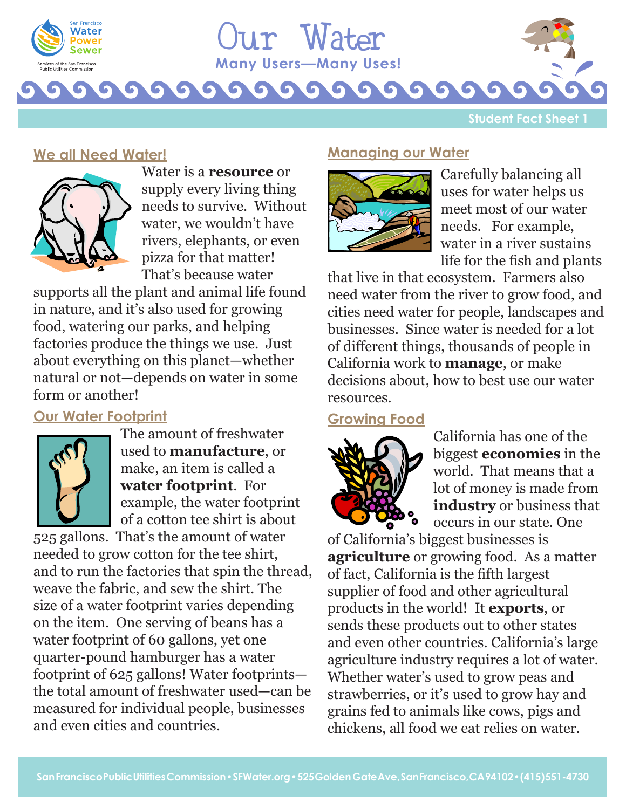



**Student Fact Sheet 1**

### **We all Need Water!**



Water is a **resource** or supply every living thing needs to survive. Without water, we wouldn't have rivers, elephants, or even pizza for that matter! That's because water

supports all the plant and animal life found in nature, and it's also used for growing food, watering our parks, and helping factories produce the things we use. Just about everything on this planet—whether natural or not—depends on water in some form or another!

# **Our Water Footprint**



The amount of freshwater used to **manufacture**, or make, an item is called a **water footprint**. For example, the water footprint of a cotton tee shirt is about

525 gallons. That's the amount of water needed to grow cotton for the tee shirt, and to run the factories that spin the thread, weave the fabric, and sew the shirt. The size of a water footprint varies depending on the item. One serving of beans has a water footprint of 60 gallons, yet one quarter-pound hamburger has a water footprint of 625 gallons! Water footprints the total amount of freshwater used—can be measured for individual people, businesses and even cities and countries.

#### **Managing our Water**



Carefully balancing all uses for water helps us meet most of our water needs. For example, water in a river sustains life for the fish and plants

that live in that ecosystem. Farmers also need water from the river to grow food, and cities need water for people, landscapes and businesses. Since water is needed for a lot of different things, thousands of people in California work to **manage**, or make decisions about, how to best use our water resources.

## **Growing Food**



California has one of the biggest **economies** in the world. That means that a lot of money is made from **industry** or business that occurs in our state. One

of California's biggest businesses is **agriculture** or growing food. As a matter of fact, California is the fifth largest supplier of food and other agricultural products in the world! It **exports**, or sends these products out to other states and even other countries. California's large agriculture industry requires a lot of water. Whether water's used to grow peas and strawberries, or it's used to grow hay and grains fed to animals like cows, pigs and chickens, all food we eat relies on water.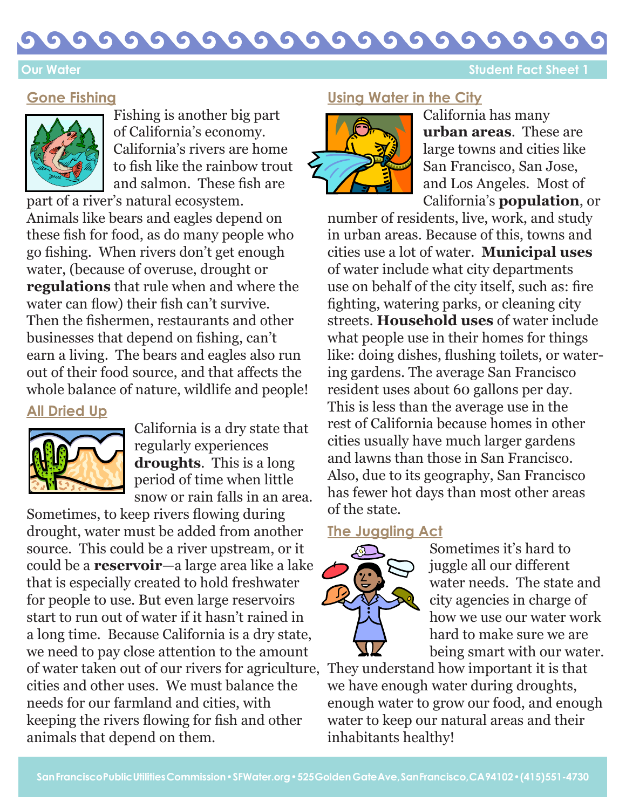#### G G  $\bullet$  $\bullet$ G

**Our Water Sheet 1 Our Water Sheet 1 Contract Sheet 1 Student Fact Sheet 1** 

#### **Gone Fishing**



Fishing is another big part of California's economy. California's rivers are home to fish like the rainbow trout and salmon. These fish are

part of a river's natural ecosystem. Animals like bears and eagles depend on these fish for food, as do many people who go fishing. When rivers don't get enough water, (because of overuse, drought or **regulations** that rule when and where the water can flow) their fish can't survive. Then the fishermen, restaurants and other businesses that depend on fishing, can't earn a living. The bears and eagles also run out of their food source, and that affects the whole balance of nature, wildlife and people!

#### **All Dried Up**



California is a dry state that regularly experiences **droughts**. This is a long period of time when little snow or rain falls in an area.

Sometimes, to keep rivers flowing during drought, water must be added from another source. This could be a river upstream, or it could be a **reservoir**—a large area like a lake that is especially created to hold freshwater for people to use. But even large reservoirs start to run out of water if it hasn't rained in a long time. Because California is a dry state, we need to pay close attention to the amount of water taken out of our rivers for agriculture, They understand how important it is that cities and other uses. We must balance the needs for our farmland and cities, with keeping the rivers flowing for fish and other animals that depend on them.

# **Using Water in the City**



California has many **urban areas**. These are large towns and cities like San Francisco, San Jose, and Los Angeles. Most of California's **population**, or

number of residents, live, work, and study in urban areas. Because of this, towns and cities use a lot of water. **Municipal uses** of water include what city departments use on behalf of the city itself, such as: fire fighting, watering parks, or cleaning city streets. **Household uses** of water include what people use in their homes for things like: doing dishes, flushing toilets, or watering gardens. The average San Francisco resident uses about 60 gallons per day. This is less than the average use in the rest of California because homes in other cities usually have much larger gardens and lawns than those in San Francisco. Also, due to its geography, San Francisco has fewer hot days than most other areas of the state.

#### **The Juggling Act**



Sometimes it's hard to juggle all our different water needs. The state and city agencies in charge of how we use our water work hard to make sure we are being smart with our water.

we have enough water during droughts, enough water to grow our food, and enough water to keep our natural areas and their inhabitants healthy!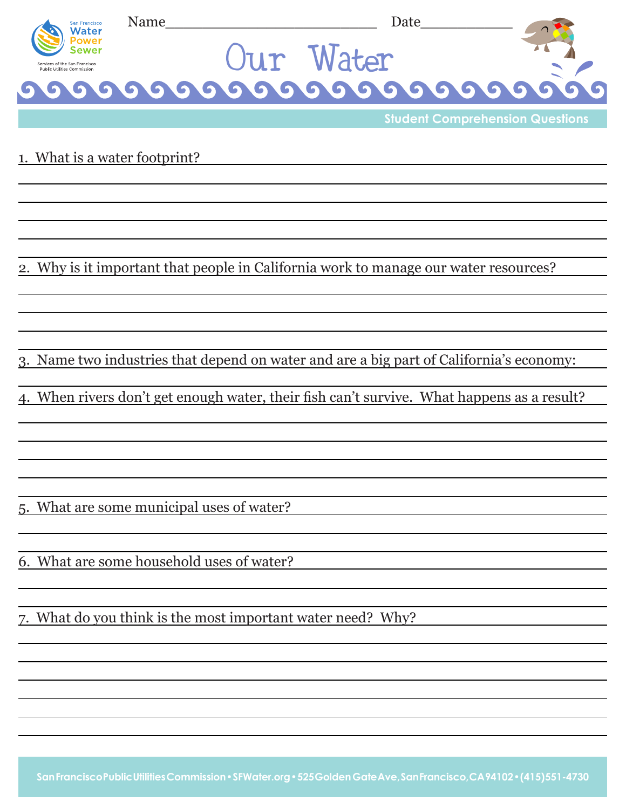

**Student Comprehension Questions**

1. What is a water footprint?

2. Why is it important that people in California work to manage our water resources?

3. Name two industries that depend on water and are a big part of California's economy:

4. When rivers don't get enough water, their fish can't survive. What happens as a result?

5. What are some municipal uses of water?

6. What are some household uses of water?

7. What do you think is the most important water need? Why?